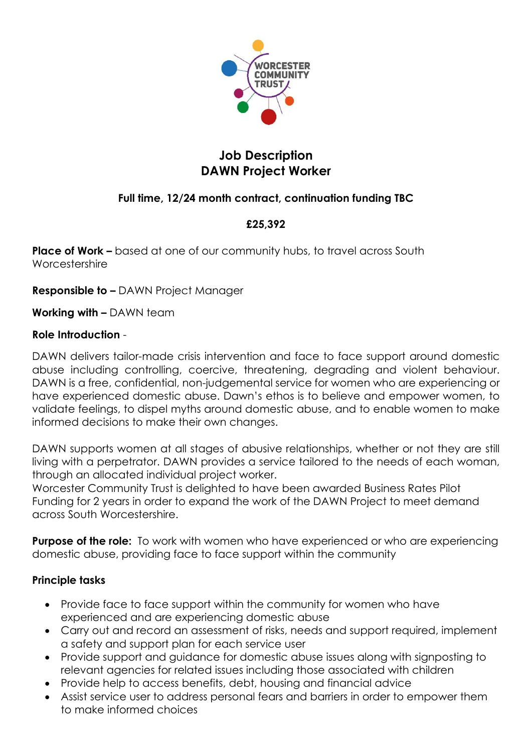

# **Job Description DAWN Project Worker**

## **Full time, 12/24 month contract, continuation funding TBC**

## **£25,392**

**Place of Work –** based at one of our community hubs, to travel across South Worcestershire

**Responsible to –** DAWN Project Manager

**Working with –** DAWN team

#### **Role Introduction** -

DAWN delivers tailor-made crisis intervention and face to face support around domestic abuse including controlling, coercive, threatening, degrading and violent behaviour. DAWN is a free, confidential, non-judgemental service for women who are experiencing or have experienced domestic abuse. Dawn's ethos is to believe and empower women, to validate feelings, to dispel myths around domestic abuse, and to enable women to make informed decisions to make their own changes.

DAWN supports women at all stages of abusive relationships, whether or not they are still living with a perpetrator. DAWN provides a service tailored to the needs of each woman, through an allocated individual project worker.

Worcester Community Trust is delighted to have been awarded Business Rates Pilot Funding for 2 years in order to expand the work of the DAWN Project to meet demand across South Worcestershire.

**Purpose of the role:** To work with women who have experienced or who are experiencing domestic abuse, providing face to face support within the community

#### **Principle tasks**

- Provide face to face support within the community for women who have experienced and are experiencing domestic abuse
- Carry out and record an assessment of risks, needs and support required, implement a safety and support plan for each service user
- Provide support and guidance for domestic abuse issues along with signposting to relevant agencies for related issues including those associated with children
- Provide help to access benefits, debt, housing and financial advice
- Assist service user to address personal fears and barriers in order to empower them to make informed choices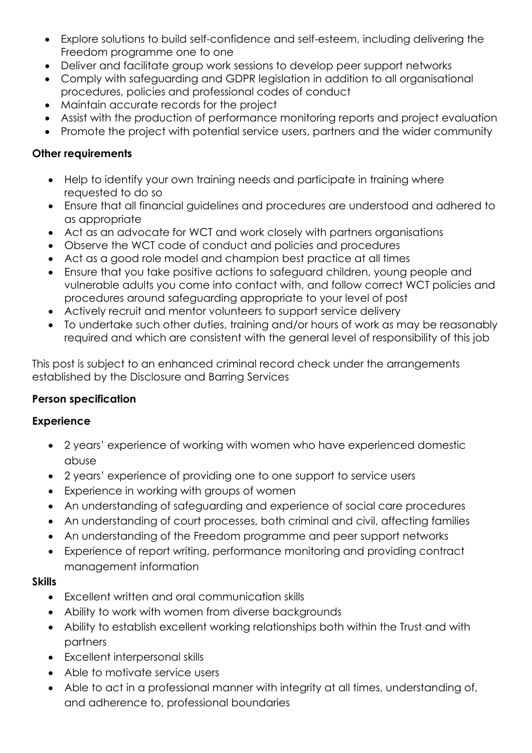- Explore solutions to build self-confidence and self-esteem, including delivering the Freedom programme one to one
- Deliver and facilitate group work sessions to develop peer support networks
- Comply with safeguarding and GDPR legislation in addition to all organisational procedures, policies and professional codes of conduct
- Maintain accurate records for the project
- Assist with the production of performance monitoring reports and project evaluation
- Promote the project with potential service users, partners and the wider community

### **Other requirements**

- Help to identify your own training needs and participate in training where requested to do so
- Ensure that all financial guidelines and procedures are understood and adhered to as appropriate
- Act as an advocate for WCT and work closely with partners organisations
- Observe the WCT code of conduct and policies and procedures
- Act as a good role model and champion best practice at all times
- Ensure that you take positive actions to safeguard children, young people and vulnerable adults you come into contact with, and follow correct WCT policies and procedures around safeguarding appropriate to your level of post
- Actively recruit and mentor volunteers to support service delivery
- To undertake such other duties, training and/or hours of work as may be reasonably required and which are consistent with the general level of responsibility of this job

This post is subject to an enhanced criminal record check under the arrangements established by the Disclosure and Barring Services

#### **Person specification**

#### **Experience**

- 2 years' experience of working with women who have experienced domestic abuse
- 2 years' experience of providing one to one support to service users
- Experience in working with groups of women
- An understanding of safeguarding and experience of social care procedures
- An understanding of court processes, both criminal and civil, affecting families
- An understanding of the Freedom programme and peer support networks
- Experience of report writing, performance monitoring and providing contract management information

#### **Skills**

- Excellent written and oral communication skills
- Ability to work with women from diverse backgrounds
- Ability to establish excellent working relationships both within the Trust and with partners
- Excellent interpersonal skills
- Able to motivate service users
- Able to act in a professional manner with integrity at all times, understanding of, and adherence to, professional boundaries